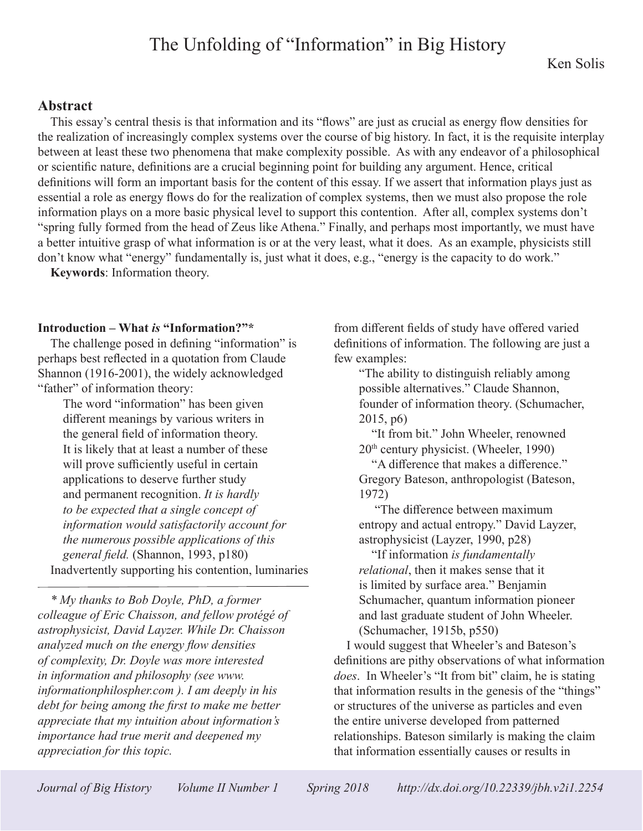# The Unfolding of "Information" in Big History

#### **Abstract**

This essay's central thesis is that information and its "flows" are just as crucial as energy flow densities for the realization of increasingly complex systems over the course of big history. In fact, it is the requisite interplay between at least these two phenomena that make complexity possible. As with any endeavor of a philosophical or scientific nature, definitions are a crucial beginning point for building any argument. Hence, critical definitions will form an important basis for the content of this essay. If we assert that information plays just as essential a role as energy flows do for the realization of complex systems, then we must also propose the role information plays on a more basic physical level to support this contention. After all, complex systems don't "spring fully formed from the head of Zeus like Athena." Finally, and perhaps most importantly, we must have a better intuitive grasp of what information is or at the very least, what it does. As an example, physicists still don't know what "energy" fundamentally is, just what it does, e.g., "energy is the capacity to do work."

**Keywords**: Information theory.

#### **Introduction – What** *is* **"Information?"\***

The challenge posed in defining "information" is perhaps best reflected in a quotation from Claude Shannon (1916-2001), the widely acknowledged "father" of information theory:

The word "information" has been given different meanings by various writers in the general field of information theory. It is likely that at least a number of these will prove sufficiently useful in certain applications to deserve further study and permanent recognition. *It is hardly to be expected that a single concept of information would satisfactorily account for the numerous possible applications of this general field.* (Shannon, 1993, p180) Inadvertently supporting his contention, luminaries

*\* My thanks to Bob Doyle, PhD, a former colleague of Eric Chaisson, and fellow protégé of astrophysicist, David Layzer. While Dr. Chaisson analyzed much on the energy flow densities of complexity, Dr. Doyle was more interested in information and philosophy (see www. informationphilospher.com ). I am deeply in his debt for being among the first to make me better appreciate that my intuition about information's importance had true merit and deepened my appreciation for this topic.*

from different fields of study have offered varied definitions of information. The following are just a few examples:

"The ability to distinguish reliably among possible alternatives." Claude Shannon, founder of information theory. (Schumacher, 2015, p6)

"It from bit." John Wheeler, renowned  $20<sup>th</sup>$  century physicist. (Wheeler, 1990)

"A difference that makes a difference." Gregory Bateson, anthropologist (Bateson, 1972)

 "The difference between maximum entropy and actual entropy." David Layzer, astrophysicist (Layzer, 1990, p28)

"If information *is fundamentally relational*, then it makes sense that it is limited by surface area." Benjamin Schumacher, quantum information pioneer and last graduate student of John Wheeler. (Schumacher, 1915b, p550)

I would suggest that Wheeler's and Bateson's definitions are pithy observations of what information *does*. In Wheeler's "It from bit" claim, he is stating that information results in the genesis of the "things" or structures of the universe as particles and even the entire universe developed from patterned relationships. Bateson similarly is making the claim that information essentially causes or results in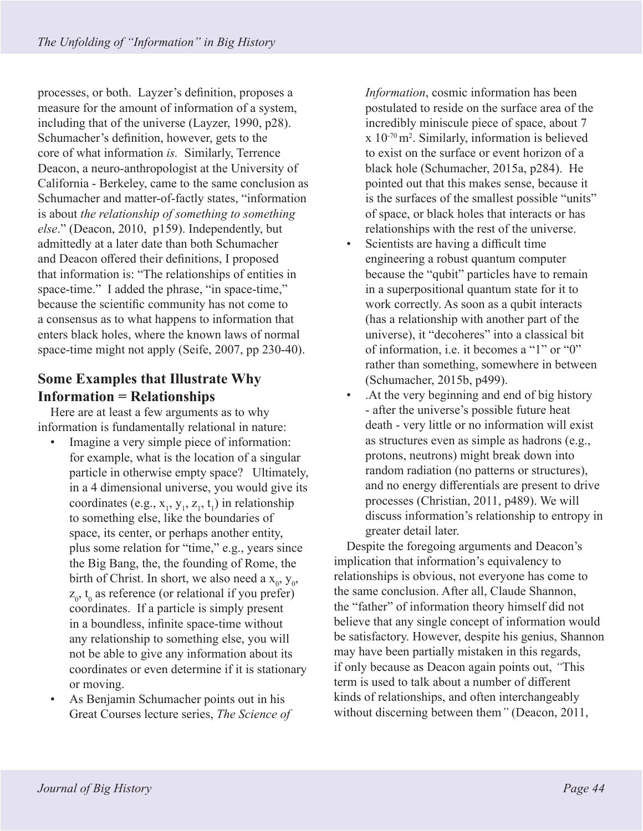processes, or both. Layzer's definition, proposes a measure for the amount of information of a system, including that of the universe (Layzer, 1990, p28). Schumacher's definition, however, gets to the core of what information *is.* Similarly, Terrence Deacon, a neuro-anthropologist at the University of California - Berkeley, came to the same conclusion as Schumacher and matter-of-factly states, "information is about *the relationship of something to something else*." (Deacon, 2010, p159). Independently, but admittedly at a later date than both Schumacher and Deacon offered their definitions, I proposed that information is: "The relationships of entities in space-time." I added the phrase, "in space-time," because the scientific community has not come to a consensus as to what happens to information that enters black holes, where the known laws of normal space-time might not apply (Seife, 2007, pp 230-40).

# **Some Examples that Illustrate Why Information = Relationships**

Here are at least a few arguments as to why information is fundamentally relational in nature:

- Imagine a very simple piece of information: for example, what is the location of a singular particle in otherwise empty space? Ultimately, in a 4 dimensional universe, you would give its coordinates (e.g.,  $x_1, y_1, z_1, t_1$ ) in relationship to something else, like the boundaries of space, its center, or perhaps another entity, plus some relation for "time," e.g., years since the Big Bang, the, the founding of Rome, the birth of Christ. In short, we also need a  $x_0$ ,  $y_0$ ,  $z_0$ ,  $t_0$  as reference (or relational if you prefer) coordinates. If a particle is simply present in a boundless, infinite space-time without any relationship to something else, you will not be able to give any information about its coordinates or even determine if it is stationary or moving.
- As Benjamin Schumacher points out in his Great Courses lecture series, *The Science of*

*Information*, cosmic information has been postulated to reside on the surface area of the incredibly miniscule piece of space, about 7 x 10-70 m2 . Similarly, information is believed to exist on the surface or event horizon of a black hole (Schumacher, 2015a, p284). He pointed out that this makes sense, because it is the surfaces of the smallest possible "units" of space, or black holes that interacts or has relationships with the rest of the universe.

- Scientists are having a difficult time engineering a robust quantum computer because the "qubit" particles have to remain in a superpositional quantum state for it to work correctly. As soon as a qubit interacts (has a relationship with another part of the universe), it "decoheres" into a classical bit of information, i.e. it becomes a "1" or "0" rather than something, somewhere in between (Schumacher, 2015b, p499).
- .At the very beginning and end of big history - after the universe's possible future heat death - very little or no information will exist as structures even as simple as hadrons (e.g., protons, neutrons) might break down into random radiation (no patterns or structures), and no energy differentials are present to drive processes (Christian, 2011, p489). We will discuss information's relationship to entropy in greater detail later.

Despite the foregoing arguments and Deacon's implication that information's equivalency to relationships is obvious, not everyone has come to the same conclusion. After all, Claude Shannon, the "father" of information theory himself did not believe that any single concept of information would be satisfactory. However, despite his genius, Shannon may have been partially mistaken in this regards, if only because as Deacon again points out, *"*This term is used to talk about a number of different kinds of relationships, and often interchangeably without discerning between them*"* (Deacon, 2011,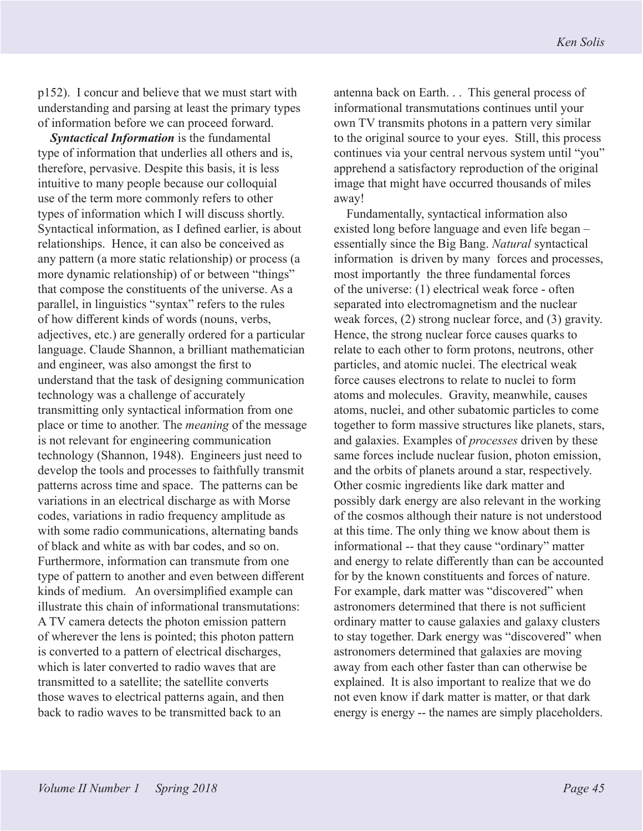p152). I concur and believe that we must start with understanding and parsing at least the primary types of information before we can proceed forward.

*Syntactical Information* is the fundamental type of information that underlies all others and is, therefore, pervasive. Despite this basis, it is less intuitive to many people because our colloquial use of the term more commonly refers to other types of information which I will discuss shortly. Syntactical information, as I defined earlier, is about relationships. Hence, it can also be conceived as any pattern (a more static relationship) or process (a more dynamic relationship) of or between "things" that compose the constituents of the universe. As a parallel, in linguistics "syntax" refers to the rules of how different kinds of words (nouns, verbs, adjectives, etc.) are generally ordered for a particular language. Claude Shannon, a brilliant mathematician and engineer, was also amongst the first to understand that the task of designing communication technology was a challenge of accurately transmitting only syntactical information from one place or time to another. The *meaning* of the message is not relevant for engineering communication technology (Shannon, 1948). Engineers just need to develop the tools and processes to faithfully transmit patterns across time and space. The patterns can be variations in an electrical discharge as with Morse codes, variations in radio frequency amplitude as with some radio communications, alternating bands of black and white as with bar codes, and so on. Furthermore, information can transmute from one type of pattern to another and even between different kinds of medium. An oversimplified example can illustrate this chain of informational transmutations: A TV camera detects the photon emission pattern of wherever the lens is pointed; this photon pattern is converted to a pattern of electrical discharges, which is later converted to radio waves that are transmitted to a satellite; the satellite converts those waves to electrical patterns again, and then back to radio waves to be transmitted back to an

antenna back on Earth. . . This general process of informational transmutations continues until your own TV transmits photons in a pattern very similar to the original source to your eyes. Still, this process continues via your central nervous system until "you" apprehend a satisfactory reproduction of the original image that might have occurred thousands of miles away!

Fundamentally, syntactical information also existed long before language and even life began – essentially since the Big Bang. *Natural* syntactical information is driven by many forces and processes, most importantly the three fundamental forces of the universe: (1) electrical weak force - often separated into electromagnetism and the nuclear weak forces, (2) strong nuclear force, and (3) gravity. Hence, the strong nuclear force causes quarks to relate to each other to form protons, neutrons, other particles, and atomic nuclei. The electrical weak force causes electrons to relate to nuclei to form atoms and molecules. Gravity, meanwhile, causes atoms, nuclei, and other subatomic particles to come together to form massive structures like planets, stars, and galaxies. Examples of *processes* driven by these same forces include nuclear fusion, photon emission, and the orbits of planets around a star, respectively. Other cosmic ingredients like dark matter and possibly dark energy are also relevant in the working of the cosmos although their nature is not understood at this time. The only thing we know about them is informational -- that they cause "ordinary" matter and energy to relate differently than can be accounted for by the known constituents and forces of nature. For example, dark matter was "discovered" when astronomers determined that there is not sufficient ordinary matter to cause galaxies and galaxy clusters to stay together. Dark energy was "discovered" when astronomers determined that galaxies are moving away from each other faster than can otherwise be explained. It is also important to realize that we do not even know if dark matter is matter, or that dark energy is energy -- the names are simply placeholders.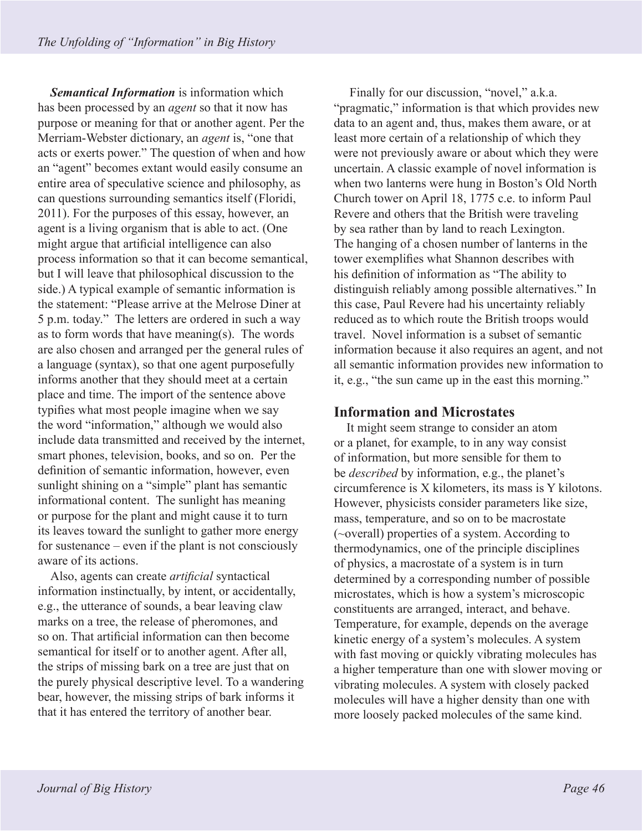*Semantical Information* is information which has been processed by an *agent* so that it now has purpose or meaning for that or another agent. Per the Merriam-Webster dictionary, an *agent* is, "one that acts or exerts power." The question of when and how an "agent" becomes extant would easily consume an entire area of speculative science and philosophy, as can questions surrounding semantics itself (Floridi, 2011). For the purposes of this essay, however, an agent is a living organism that is able to act. (One might argue that artificial intelligence can also process information so that it can become semantical, but I will leave that philosophical discussion to the side.) A typical example of semantic information is the statement: "Please arrive at the Melrose Diner at 5 p.m. today." The letters are ordered in such a way as to form words that have meaning(s). The words are also chosen and arranged per the general rules of a language (syntax), so that one agent purposefully informs another that they should meet at a certain place and time. The import of the sentence above typifies what most people imagine when we say the word "information," although we would also include data transmitted and received by the internet, smart phones, television, books, and so on. Per the definition of semantic information, however, even sunlight shining on a "simple" plant has semantic informational content. The sunlight has meaning or purpose for the plant and might cause it to turn its leaves toward the sunlight to gather more energy for sustenance – even if the plant is not consciously aware of its actions.

Also, agents can create *artificial* syntactical information instinctually, by intent, or accidentally, e.g., the utterance of sounds, a bear leaving claw marks on a tree, the release of pheromones, and so on. That artificial information can then become semantical for itself or to another agent. After all, the strips of missing bark on a tree are just that on the purely physical descriptive level. To a wandering bear, however, the missing strips of bark informs it that it has entered the territory of another bear.

 Finally for our discussion, "novel," a.k.a. "pragmatic," information is that which provides new data to an agent and, thus, makes them aware, or at least more certain of a relationship of which they were not previously aware or about which they were uncertain. A classic example of novel information is when two lanterns were hung in Boston's Old North Church tower on April 18, 1775 c.e. to inform Paul Revere and others that the British were traveling by sea rather than by land to reach Lexington. The hanging of a chosen number of lanterns in the tower exemplifies what Shannon describes with his definition of information as "The ability to distinguish reliably among possible alternatives." In this case, Paul Revere had his uncertainty reliably reduced as to which route the British troops would travel. Novel information is a subset of semantic information because it also requires an agent, and not all semantic information provides new information to it, e.g., "the sun came up in the east this morning."

### **Information and Microstates**

It might seem strange to consider an atom or a planet, for example, to in any way consist of information, but more sensible for them to be *described* by information, e.g., the planet's circumference is X kilometers, its mass is Y kilotons. However, physicists consider parameters like size, mass, temperature, and so on to be macrostate (~overall) properties of a system. According to thermodynamics, one of the principle disciplines of physics, a macrostate of a system is in turn determined by a corresponding number of possible microstates, which is how a system's microscopic constituents are arranged, interact, and behave. Temperature, for example, depends on the average kinetic energy of a system's molecules. A system with fast moving or quickly vibrating molecules has a higher temperature than one with slower moving or vibrating molecules. A system with closely packed molecules will have a higher density than one with more loosely packed molecules of the same kind.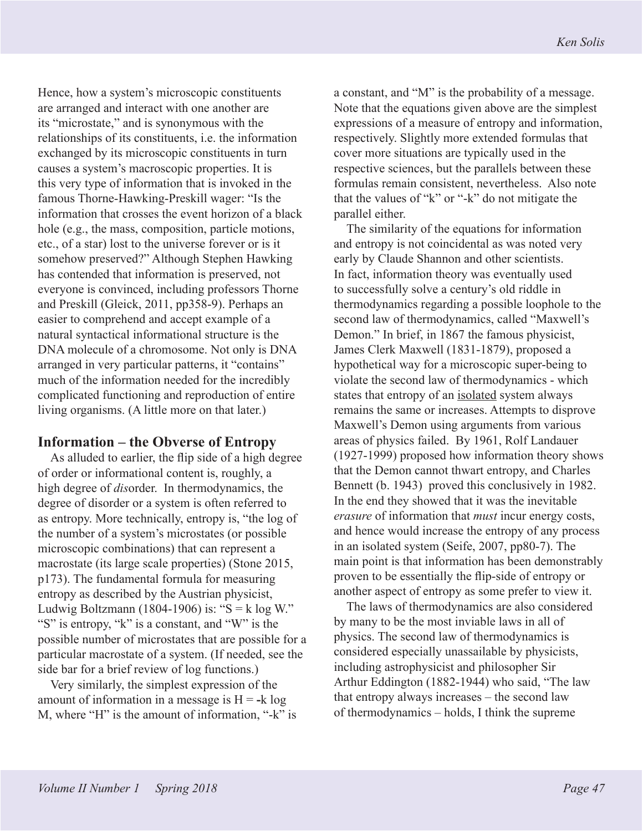Hence, how a system's microscopic constituents are arranged and interact with one another are its "microstate," and is synonymous with the relationships of its constituents, i.e. the information exchanged by its microscopic constituents in turn causes a system's macroscopic properties. It is this very type of information that is invoked in the famous Thorne-Hawking-Preskill wager: "Is the information that crosses the event horizon of a black hole (e.g., the mass, composition, particle motions, etc., of a star) lost to the universe forever or is it somehow preserved?" Although Stephen Hawking has contended that information is preserved, not everyone is convinced, including professors Thorne and Preskill (Gleick, 2011, pp358-9). Perhaps an easier to comprehend and accept example of a natural syntactical informational structure is the DNA molecule of a chromosome. Not only is DNA arranged in very particular patterns, it "contains" much of the information needed for the incredibly complicated functioning and reproduction of entire living organisms. (A little more on that later.)

#### **Information – the Obverse of Entropy**

As alluded to earlier, the flip side of a high degree of order or informational content is, roughly, a high degree of *dis*order. In thermodynamics, the degree of disorder or a system is often referred to as entropy. More technically, entropy is, "the log of the number of a system's microstates (or possible microscopic combinations) that can represent a macrostate (its large scale properties) (Stone 2015, p173). The fundamental formula for measuring entropy as described by the Austrian physicist, Ludwig Boltzmann (1804-1906) is: " $S = k \log W$ ." "S" is entropy, "k" is a constant, and "W" is the possible number of microstates that are possible for a particular macrostate of a system. (If needed, see the side bar for a brief review of log functions.)

Very similarly, the simplest expression of the amount of information in a message is  $H = -k \log \frac{m}{k}$ M, where "H" is the amount of information, "-k" is a constant, and "M" is the probability of a message. Note that the equations given above are the simplest expressions of a measure of entropy and information, respectively. Slightly more extended formulas that cover more situations are typically used in the respective sciences, but the parallels between these formulas remain consistent, nevertheless. Also note that the values of "k" or "-k" do not mitigate the parallel either.

The similarity of the equations for information and entropy is not coincidental as was noted very early by Claude Shannon and other scientists. In fact, information theory was eventually used to successfully solve a century's old riddle in thermodynamics regarding a possible loophole to the second law of thermodynamics, called "Maxwell's Demon." In brief, in 1867 the famous physicist, James Clerk Maxwell (1831-1879), proposed a hypothetical way for a microscopic super-being to violate the second law of thermodynamics - which states that entropy of an isolated system always remains the same or increases. Attempts to disprove Maxwell's Demon using arguments from various areas of physics failed. By 1961, Rolf Landauer (1927-1999) proposed how information theory shows that the Demon cannot thwart entropy, and Charles Bennett (b. 1943) proved this conclusively in 1982. In the end they showed that it was the inevitable *erasure* of information that *must* incur energy costs, and hence would increase the entropy of any process in an isolated system (Seife, 2007, pp80-7). The main point is that information has been demonstrably proven to be essentially the flip-side of entropy or another aspect of entropy as some prefer to view it.

The laws of thermodynamics are also considered by many to be the most inviable laws in all of physics. The second law of thermodynamics is considered especially unassailable by physicists, including astrophysicist and philosopher Sir Arthur Eddington (1882-1944) who said, "The law that entropy always increases – the second law of thermodynamics – holds, I think the supreme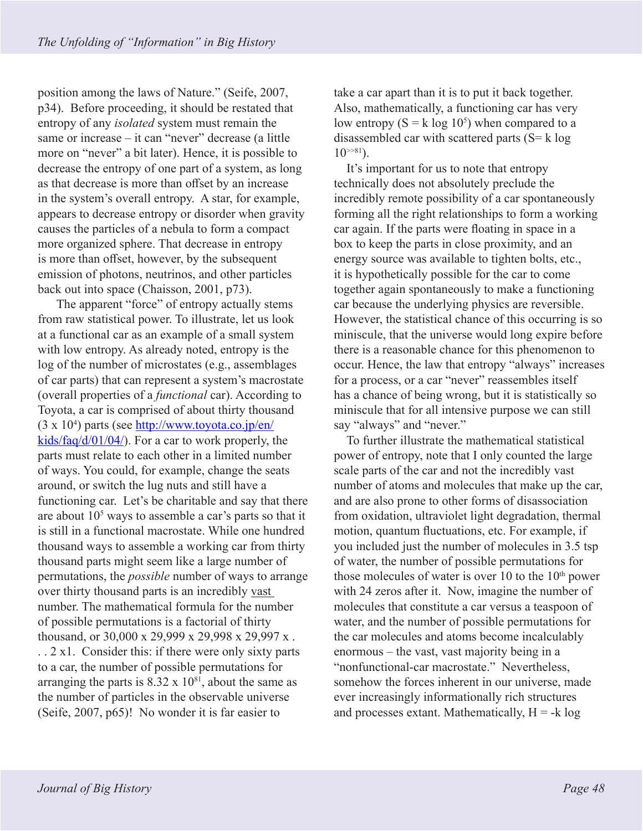position among the laws of Nature." (Seife, 2007, p34). Before proceeding, it should be restated that entropy of any *isolated* system must remain the same or increase – it can "never" decrease (a little more on "never" a bit later). Hence, it is possible to decrease the entropy of one part of a system, as long as that decrease is more than offset by an increase in the system's overall entropy. A star, for example, appears to decrease entropy or disorder when gravity causes the particles of a nebula to form a compact more organized sphere. That decrease in entropy is more than offset, however, by the subsequent emission of photons, neutrinos, and other particles back out into space (Chaisson, 2001, p73).

 The apparent "force" of entropy actually stems from raw statistical power. To illustrate, let us look at a functional car as an example of a small system with low entropy. As already noted, entropy is the log of the number of microstates (e.g., assemblages of car parts) that can represent a system's macrostate (overall properties of a *functional* car). According to Toyota, a car is comprised of about thirty thousand (3 x 10<sup>4</sup>) parts (see http://www.toyota.co.jp/en/ kids/faq/d/01/04/). For a car to work properly, the parts must relate to each other in a limited number of ways. You could, for example, change the seats around, or switch the lug nuts and still have a functioning car. Let's be charitable and say that there are about 10<sup>5</sup> ways to assemble a car's parts so that it is still in a functional macrostate. While one hundred thousand ways to assemble a working car from thirty thousand parts might seem like a large number of permutations, the *possible* number of ways to arrange over thirty thousand parts is an incredibly vast number. The mathematical formula for the number of possible permutations is a factorial of thirty thousand, or 30,000 x 29,999 x 29,998 x 29,997 x . . . 2 x1. Consider this: if there were only sixty parts to a car, the number of possible permutations for arranging the parts is  $8.32 \times 10^{81}$ , about the same as the number of particles in the observable universe (Seife, 2007, p65)! No wonder it is far easier to

take a car apart than it is to put it back together. Also, mathematically, a functioning car has very low entropy  $(S = k \log 10^5)$  when compared to a disassembled car with scattered parts  $(S = k \log n)$  $10^{381}$ .

It's important for us to note that entropy technically does not absolutely preclude the incredibly remote possibility of a car spontaneously forming all the right relationships to form a working car again. If the parts were floating in space in a box to keep the parts in close proximity, and an energy source was available to tighten bolts, etc., it is hypothetically possible for the car to come together again spontaneously to make a functioning car because the underlying physics are reversible. However, the statistical chance of this occurring is so miniscule, that the universe would long expire before there is a reasonable chance for this phenomenon to occur. Hence, the law that entropy "always" increases for a process, or a car "never" reassembles itself has a chance of being wrong, but it is statistically so miniscule that for all intensive purpose we can still say "always" and "never."

To further illustrate the mathematical statistical power of entropy, note that I only counted the large scale parts of the car and not the incredibly vast number of atoms and molecules that make up the car, and are also prone to other forms of disassociation from oxidation, ultraviolet light degradation, thermal motion, quantum fluctuations, etc. For example, if you included just the number of molecules in 3.5 tsp of water, the number of possible permutations for those molecules of water is over  $10$  to the  $10<sup>th</sup>$  power with 24 zeros after it. Now, imagine the number of molecules that constitute a car versus a teaspoon of water, and the number of possible permutations for the car molecules and atoms become incalculably enormous – the vast, vast majority being in a "nonfunctional-car macrostate." Nevertheless, somehow the forces inherent in our universe, made ever increasingly informationally rich structures and processes extant. Mathematically,  $H = -k \log n$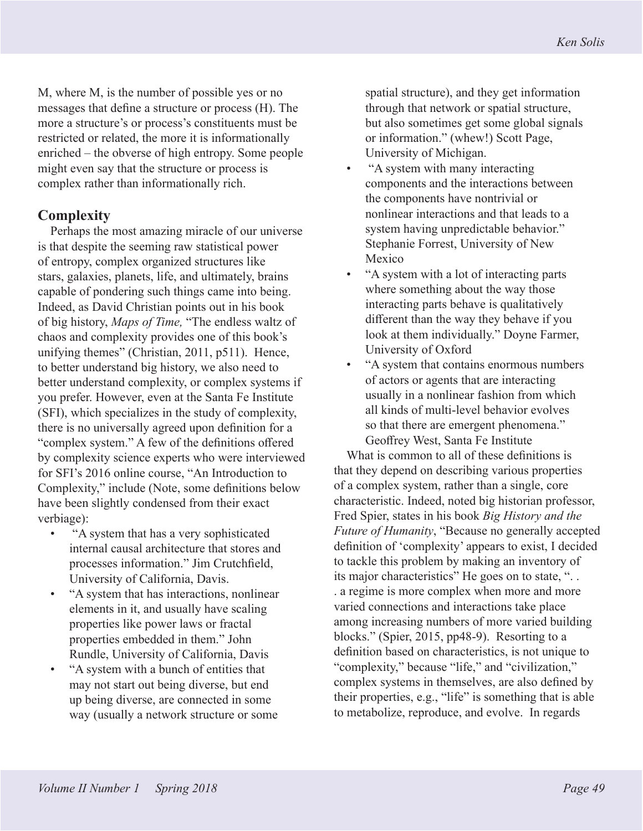M, where M, is the number of possible yes or no messages that define a structure or process (H). The more a structure's or process's constituents must be restricted or related, the more it is informationally enriched – the obverse of high entropy. Some people might even say that the structure or process is complex rather than informationally rich.

## **Complexity**

Perhaps the most amazing miracle of our universe is that despite the seeming raw statistical power of entropy, complex organized structures like stars, galaxies, planets, life, and ultimately, brains capable of pondering such things came into being. Indeed, as David Christian points out in his book of big history, *Maps of Time,* "The endless waltz of chaos and complexity provides one of this book's unifying themes" (Christian, 2011, p511). Hence, to better understand big history, we also need to better understand complexity, or complex systems if you prefer. However, even at the Santa Fe Institute (SFI), which specializes in the study of complexity, there is no universally agreed upon definition for a "complex system." A few of the definitions offered by complexity science experts who were interviewed for SFI's 2016 online course, "An Introduction to Complexity," include (Note, some definitions below have been slightly condensed from their exact verbiage):

- "A system that has a very sophisticated internal causal architecture that stores and processes information." Jim Crutchfield, University of California, Davis.
- "A system that has interactions, nonlinear elements in it, and usually have scaling properties like power laws or fractal properties embedded in them." John Rundle, University of California, Davis
- "A system with a bunch of entities that may not start out being diverse, but end up being diverse, are connected in some way (usually a network structure or some

spatial structure), and they get information through that network or spatial structure, but also sometimes get some global signals or information." (whew!) Scott Page, University of Michigan.

- "A system with many interacting components and the interactions between the components have nontrivial or nonlinear interactions and that leads to a system having unpredictable behavior." Stephanie Forrest, University of New Mexico
- "A system with a lot of interacting parts where something about the way those interacting parts behave is qualitatively different than the way they behave if you look at them individually." Doyne Farmer, University of Oxford
- "A system that contains enormous numbers of actors or agents that are interacting usually in a nonlinear fashion from which all kinds of multi-level behavior evolves so that there are emergent phenomena." Geoffrey West, Santa Fe Institute

What is common to all of these definitions is that they depend on describing various properties of a complex system, rather than a single, core characteristic. Indeed, noted big historian professor, Fred Spier, states in his book *Big History and the Future of Humanity*, "Because no generally accepted definition of 'complexity' appears to exist, I decided to tackle this problem by making an inventory of its major characteristics" He goes on to state, "... . a regime is more complex when more and more varied connections and interactions take place among increasing numbers of more varied building blocks." (Spier, 2015, pp48-9). Resorting to a definition based on characteristics, is not unique to "complexity," because "life," and "civilization," complex systems in themselves, are also defined by their properties, e.g., "life" is something that is able to metabolize, reproduce, and evolve. In regards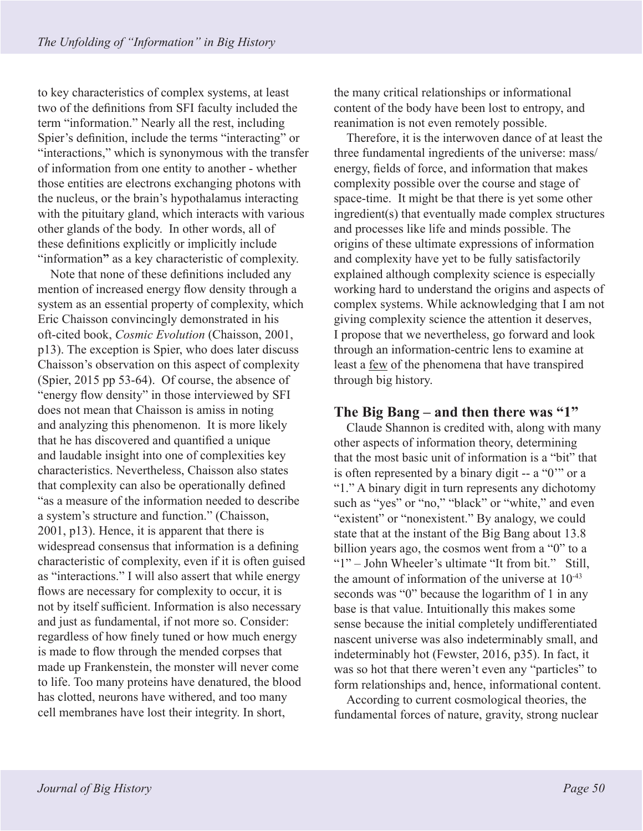to key characteristics of complex systems, at least two of the definitions from SFI faculty included the term "information." Nearly all the rest, including Spier's definition, include the terms "interacting" or "interactions," which is synonymous with the transfer of information from one entity to another - whether those entities are electrons exchanging photons with the nucleus, or the brain's hypothalamus interacting with the pituitary gland, which interacts with various other glands of the body. In other words, all of these definitions explicitly or implicitly include "information**"** as a key characteristic of complexity.

Note that none of these definitions included any mention of increased energy flow density through a system as an essential property of complexity, which Eric Chaisson convincingly demonstrated in his oft-cited book, *Cosmic Evolution* (Chaisson, 2001, p13). The exception is Spier, who does later discuss Chaisson's observation on this aspect of complexity (Spier, 2015 pp 53-64). Of course, the absence of "energy flow density" in those interviewed by SFI does not mean that Chaisson is amiss in noting and analyzing this phenomenon. It is more likely that he has discovered and quantified a unique and laudable insight into one of complexities key characteristics. Nevertheless, Chaisson also states that complexity can also be operationally defined "as a measure of the information needed to describe a system's structure and function." (Chaisson, 2001, p13). Hence, it is apparent that there is widespread consensus that information is a defining characteristic of complexity, even if it is often guised as "interactions." I will also assert that while energy flows are necessary for complexity to occur, it is not by itself sufficient. Information is also necessary and just as fundamental, if not more so. Consider: regardless of how finely tuned or how much energy is made to flow through the mended corpses that made up Frankenstein, the monster will never come to life. Too many proteins have denatured, the blood has clotted, neurons have withered, and too many cell membranes have lost their integrity. In short,

the many critical relationships or informational content of the body have been lost to entropy, and reanimation is not even remotely possible.

Therefore, it is the interwoven dance of at least the three fundamental ingredients of the universe: mass/ energy, fields of force, and information that makes complexity possible over the course and stage of space-time. It might be that there is yet some other ingredient(s) that eventually made complex structures and processes like life and minds possible. The origins of these ultimate expressions of information and complexity have yet to be fully satisfactorily explained although complexity science is especially working hard to understand the origins and aspects of complex systems. While acknowledging that I am not giving complexity science the attention it deserves, I propose that we nevertheless, go forward and look through an information-centric lens to examine at least a few of the phenomena that have transpired through big history.

### **The Big Bang – and then there was "1"**

Claude Shannon is credited with, along with many other aspects of information theory, determining that the most basic unit of information is a "bit" that is often represented by a binary digit -- a "0'" or a "1." A binary digit in turn represents any dichotomy such as "yes" or "no," "black" or "white," and even "existent" or "nonexistent." By analogy, we could state that at the instant of the Big Bang about 13.8 billion years ago, the cosmos went from a "0" to a "1" – John Wheeler's ultimate "It from bit." Still, the amount of information of the universe at  $10^{-43}$ seconds was "0" because the logarithm of 1 in any base is that value. Intuitionally this makes some sense because the initial completely undifferentiated nascent universe was also indeterminably small, and indeterminably hot (Fewster, 2016, p35). In fact, it was so hot that there weren't even any "particles" to form relationships and, hence, informational content.

According to current cosmological theories, the fundamental forces of nature, gravity, strong nuclear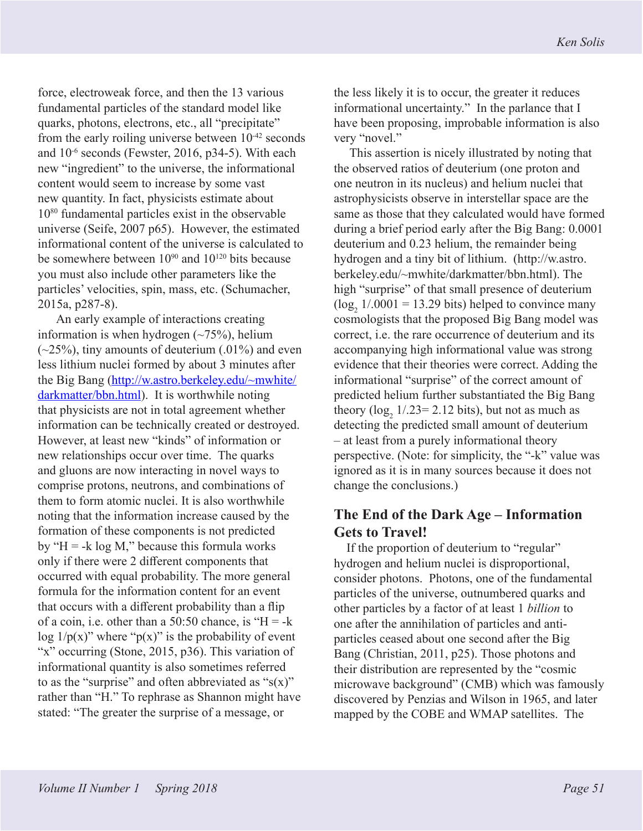force, electroweak force, and then the 13 various fundamental particles of the standard model like quarks, photons, electrons, etc., all "precipitate" from the early roiling universe between  $10^{-42}$  seconds and  $10^{-6}$  seconds (Fewster, 2016, p34-5). With each new "ingredient" to the universe, the informational content would seem to increase by some vast new quantity. In fact, physicists estimate about 1080 fundamental particles exist in the observable universe (Seife, 2007 p65). However, the estimated informational content of the universe is calculated to be somewhere between  $10^{90}$  and  $10^{120}$  bits because you must also include other parameters like the particles' velocities, spin, mass, etc. (Schumacher, 2015a, p287-8).

 An early example of interactions creating information is when hydrogen  $(\sim 75\%)$ , helium  $(-25%)$ , tiny amounts of deuterium  $(.01%)$  and even less lithium nuclei formed by about 3 minutes after the Big Bang (http://w.astro.berkeley.edu/~mwhite/ darkmatter/bbn.html). It is worthwhile noting that physicists are not in total agreement whether information can be technically created or destroyed. However, at least new "kinds" of information or new relationships occur over time. The quarks and gluons are now interacting in novel ways to comprise protons, neutrons, and combinations of them to form atomic nuclei. It is also worthwhile noting that the information increase caused by the formation of these components is not predicted by " $H = -k \log M$ ," because this formula works only if there were 2 different components that occurred with equal probability. The more general formula for the information content for an event that occurs with a different probability than a flip of a coin, i.e. other than a 50:50 chance, is " $H = -k$ log  $1/p(x)$ " where " $p(x)$ " is the probability of event "x" occurring (Stone, 2015, p36). This variation of informational quantity is also sometimes referred to as the "surprise" and often abbreviated as " $s(x)$ " rather than "H." To rephrase as Shannon might have stated: "The greater the surprise of a message, or

the less likely it is to occur, the greater it reduces informational uncertainty." In the parlance that I have been proposing, improbable information is also very "novel."

 This assertion is nicely illustrated by noting that the observed ratios of deuterium (one proton and one neutron in its nucleus) and helium nuclei that astrophysicists observe in interstellar space are the same as those that they calculated would have formed during a brief period early after the Big Bang: 0.0001 deuterium and 0.23 helium, the remainder being hydrogen and a tiny bit of lithium. (http://w.astro. berkeley.edu/~mwhite/darkmatter/bbn.html). The high "surprise" of that small presence of deuterium  $(log_2 1/.0001 = 13.29$  bits) helped to convince many cosmologists that the proposed Big Bang model was correct, i.e. the rare occurrence of deuterium and its accompanying high informational value was strong evidence that their theories were correct. Adding the informational "surprise" of the correct amount of predicted helium further substantiated the Big Bang theory  $(log_2 1/0.23 = 2.12$  bits), but not as much as detecting the predicted small amount of deuterium – at least from a purely informational theory perspective. (Note: for simplicity, the "-k" value was ignored as it is in many sources because it does not change the conclusions.)

### **The End of the Dark Age – Information Gets to Travel!**

If the proportion of deuterium to "regular" hydrogen and helium nuclei is disproportional, consider photons. Photons, one of the fundamental particles of the universe, outnumbered quarks and other particles by a factor of at least 1 *billion* to one after the annihilation of particles and antiparticles ceased about one second after the Big Bang (Christian, 2011, p25). Those photons and their distribution are represented by the "cosmic microwave background" (CMB) which was famously discovered by Penzias and Wilson in 1965, and later mapped by the COBE and WMAP satellites. The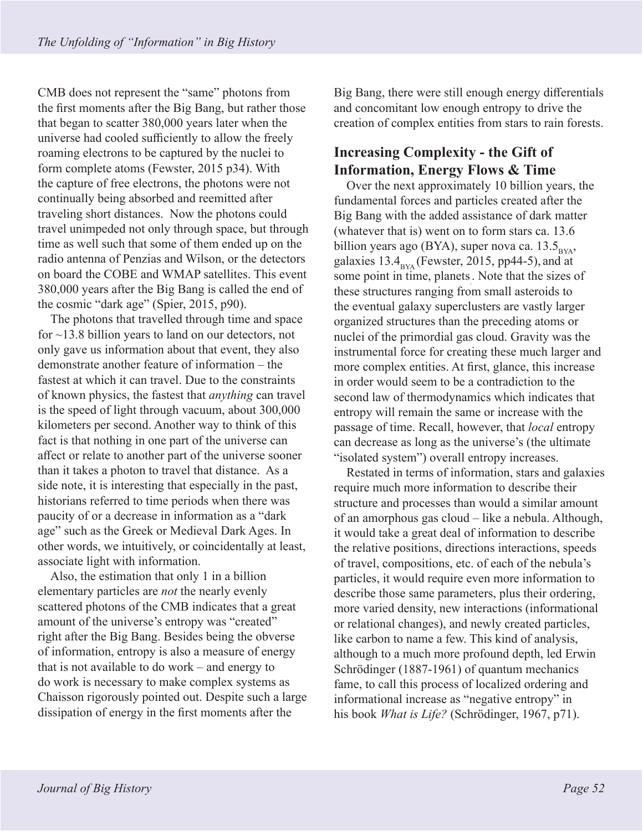CMB does not represent the "same" photons from the first moments after the Big Bang, but rather those that began to scatter 380,000 years later when the universe had cooled sufficiently to allow the freely roaming electrons to be captured by the nuclei to form complete atoms (Fewster, 2015 p34). With the capture of free electrons, the photons were not continually being absorbed and reemitted after traveling short distances. Now the photons could travel unimpeded not only through space, but through time as well such that some of them ended up on the radio antenna of Penzias and Wilson, or the detectors on board the COBE and WMAP satellites. This event 380,000 years after the Big Bang is called the end of the cosmic "dark age" (Spier, 2015, p90).

The photons that travelled through time and space for ~13.8 billion years to land on our detectors, not only gave us information about that event, they also demonstrate another feature of information – the fastest at which it can travel. Due to the constraints of known physics, the fastest that *anything* can travel is the speed of light through vacuum, about 300,000 kilometers per second. Another way to think of this fact is that nothing in one part of the universe can affect or relate to another part of the universe sooner than it takes a photon to travel that distance. As a side note, it is interesting that especially in the past, historians referred to time periods when there was paucity of or a decrease in information as a "dark age" such as the Greek or Medieval Dark Ages. In other words, we intuitively, or coincidentally at least, associate light with information.

Also, the estimation that only 1 in a billion elementary particles are *not* the nearly evenly scattered photons of the CMB indicates that a great amount of the universe's entropy was "created" right after the Big Bang. Besides being the obverse of information, entropy is also a measure of energy that is not available to do work – and energy to do work is necessary to make complex systems as Chaisson rigorously pointed out. Despite such a large dissipation of energy in the first moments after the

Big Bang, there were still enough energy differentials and concomitant low enough entropy to drive the creation of complex entities from stars to rain forests.

# **Increasing Complexity - the Gift of Information, Energy Flows & Time**

Over the next approximately 10 billion years, the fundamental forces and particles created after the Big Bang with the added assistance of dark matter (whatever that is) went on to form stars ca. 13.6 billion years ago (BYA), super nova ca. 13.5 $_{\rm BYA}$ , galaxies  $13.4<sub>BYA</sub>$  (Fewster, 2015, pp44-5), and at some point in time, planets. . Note that the sizes of these structures ranging from small asteroids to the eventual galaxy superclusters are vastly larger organized structures than the preceding atoms or nuclei of the primordial gas cloud. Gravity was the instrumental force for creating these much larger and more complex entities. At first, glance, this increase in order would seem to be a contradiction to the second law of thermodynamics which indicates that entropy will remain the same or increase with the passage of time. Recall, however, that *local* entropy can decrease as long as the universe's (the ultimate "isolated system") overall entropy increases.

Restated in terms of information, stars and galaxies require much more information to describe their structure and processes than would a similar amount of an amorphous gas cloud – like a nebula. Although, it would take a great deal of information to describe the relative positions, directions interactions, speeds of travel, compositions, etc. of each of the nebula's particles, it would require even more information to describe those same parameters, plus their ordering, more varied density, new interactions (informational or relational changes), and newly created particles, like carbon to name a few. This kind of analysis, although to a much more profound depth, led Erwin Schrödinger (1887-1961) of quantum mechanics fame, to call this process of localized ordering and informational increase as "negative entropy" in his book *What is Life?* (Schrödinger, 1967, p71).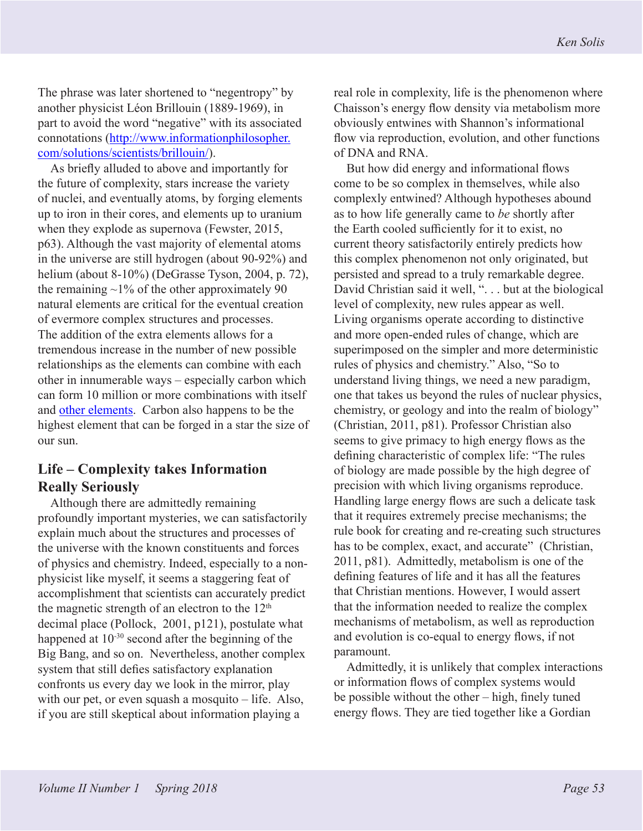The phrase was later shortened to "negentropy" by another physicist Léon Brillouin (1889-1969), in part to avoid the word "negative" with its associated connotations (http://www.informationphilosopher. com/solutions/scientists/brillouin/).

As briefly alluded to above and importantly for the future of complexity, stars increase the variety of nuclei, and eventually atoms, by forging elements up to iron in their cores, and elements up to uranium when they explode as supernova (Fewster, 2015, p63). Although the vast majority of elemental atoms in the universe are still hydrogen (about 90-92%) and helium (about 8-10%) (DeGrasse Tyson, 2004, p. 72), the remaining  $\sim$ 1% of the other approximately 90 natural elements are critical for the eventual creation of evermore complex structures and processes. The addition of the extra elements allows for a tremendous increase in the number of new possible relationships as the elements can combine with each other in innumerable ways – especially carbon which can form 10 million or more combinations with itself and other elements. Carbon also happens to be the highest element that can be forged in a star the size of our sun.

## **Life – Complexity takes Information Really Seriously**

Although there are admittedly remaining profoundly important mysteries, we can satisfactorily explain much about the structures and processes of the universe with the known constituents and forces of physics and chemistry. Indeed, especially to a nonphysicist like myself, it seems a staggering feat of accomplishment that scientists can accurately predict the magnetic strength of an electron to the  $12<sup>th</sup>$ decimal place (Pollock, 2001, p121), postulate what happened at 10-30 second after the beginning of the Big Bang, and so on. Nevertheless, another complex system that still defies satisfactory explanation confronts us every day we look in the mirror, play with our pet, or even squash a mosquito – life. Also, if you are still skeptical about information playing a

real role in complexity, life is the phenomenon where Chaisson's energy flow density via metabolism more obviously entwines with Shannon's informational flow via reproduction, evolution, and other functions of DNA and RNA.

But how did energy and informational flows come to be so complex in themselves, while also complexly entwined? Although hypotheses abound as to how life generally came to *be* shortly after the Earth cooled sufficiently for it to exist, no current theory satisfactorily entirely predicts how this complex phenomenon not only originated, but persisted and spread to a truly remarkable degree. David Christian said it well, "... but at the biological level of complexity, new rules appear as well. Living organisms operate according to distinctive and more open-ended rules of change, which are superimposed on the simpler and more deterministic rules of physics and chemistry." Also, "So to understand living things, we need a new paradigm, one that takes us beyond the rules of nuclear physics, chemistry, or geology and into the realm of biology" (Christian, 2011, p81). Professor Christian also seems to give primacy to high energy flows as the defining characteristic of complex life: "The rules of biology are made possible by the high degree of precision with which living organisms reproduce. Handling large energy flows are such a delicate task that it requires extremely precise mechanisms; the rule book for creating and re-creating such structures has to be complex, exact, and accurate" (Christian, 2011, p81). Admittedly, metabolism is one of the defining features of life and it has all the features that Christian mentions. However, I would assert that the information needed to realize the complex mechanisms of metabolism, as well as reproduction and evolution is co-equal to energy flows, if not paramount.

Admittedly, it is unlikely that complex interactions or information flows of complex systems would be possible without the other – high, finely tuned energy flows. They are tied together like a Gordian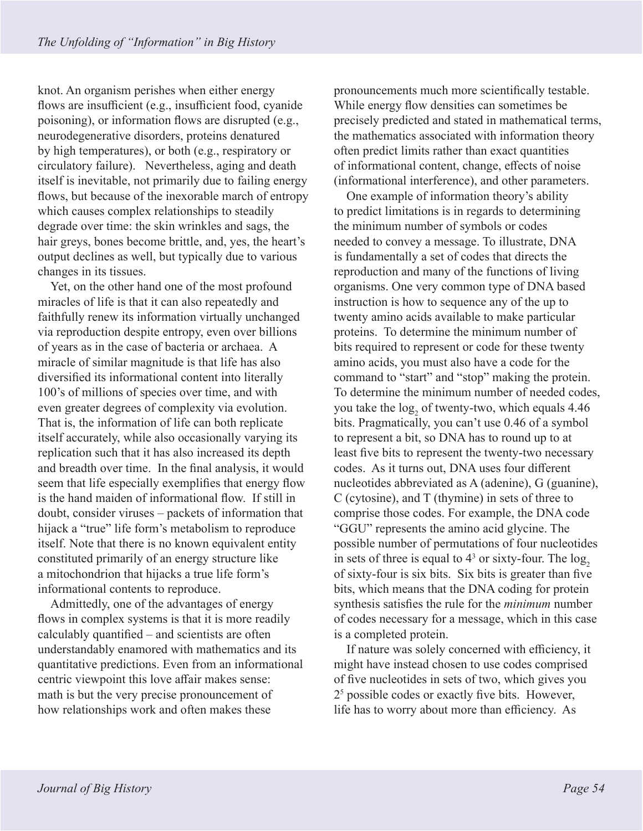knot. An organism perishes when either energy flows are insufficient (e.g., insufficient food, cyanide poisoning), or information flows are disrupted (e.g., neurodegenerative disorders, proteins denatured by high temperatures), or both (e.g., respiratory or circulatory failure). Nevertheless, aging and death itself is inevitable, not primarily due to failing energy flows, but because of the inexorable march of entropy which causes complex relationships to steadily degrade over time: the skin wrinkles and sags, the hair greys, bones become brittle, and, yes, the heart's output declines as well, but typically due to various changes in its tissues.

Yet, on the other hand one of the most profound miracles of life is that it can also repeatedly and faithfully renew its information virtually unchanged via reproduction despite entropy, even over billions of years as in the case of bacteria or archaea. A miracle of similar magnitude is that life has also diversified its informational content into literally 100's of millions of species over time, and with even greater degrees of complexity via evolution. That is, the information of life can both replicate itself accurately, while also occasionally varying its replication such that it has also increased its depth and breadth over time. In the final analysis, it would seem that life especially exemplifies that energy flow is the hand maiden of informational flow. If still in doubt, consider viruses – packets of information that hijack a "true" life form's metabolism to reproduce itself. Note that there is no known equivalent entity constituted primarily of an energy structure like a mitochondrion that hijacks a true life form's informational contents to reproduce.

Admittedly, one of the advantages of energy flows in complex systems is that it is more readily calculably quantified – and scientists are often understandably enamored with mathematics and its quantitative predictions. Even from an informational centric viewpoint this love affair makes sense: math is but the very precise pronouncement of how relationships work and often makes these

pronouncements much more scientifically testable. While energy flow densities can sometimes be precisely predicted and stated in mathematical terms, the mathematics associated with information theory often predict limits rather than exact quantities of informational content, change, effects of noise (informational interference), and other parameters.

One example of information theory's ability to predict limitations is in regards to determining the minimum number of symbols or codes needed to convey a message. To illustrate, DNA is fundamentally a set of codes that directs the reproduction and many of the functions of living organisms. One very common type of DNA based instruction is how to sequence any of the up to twenty amino acids available to make particular proteins. To determine the minimum number of bits required to represent or code for these twenty amino acids, you must also have a code for the command to "start" and "stop" making the protein. To determine the minimum number of needed codes, you take the  $\log_2$  of twenty-two, which equals 4.46 bits. Pragmatically, you can't use 0.46 of a symbol to represent a bit, so DNA has to round up to at least five bits to represent the twenty-two necessary codes. As it turns out, DNA uses four different nucleotides abbreviated as A (adenine), G (guanine), C (cytosine), and T (thymine) in sets of three to comprise those codes. For example, the DNA code "GGU" represents the amino acid glycine. The possible number of permutations of four nucleotides in sets of three is equal to  $4^3$  or sixty-four. The  $\log_2$ of sixty-four is six bits. Six bits is greater than five bits, which means that the DNA coding for protein synthesis satisfies the rule for the *minimum* number of codes necessary for a message, which in this case is a completed protein.

If nature was solely concerned with efficiency, it might have instead chosen to use codes comprised of five nucleotides in sets of two, which gives you 25 possible codes or exactly five bits. However, life has to worry about more than efficiency. As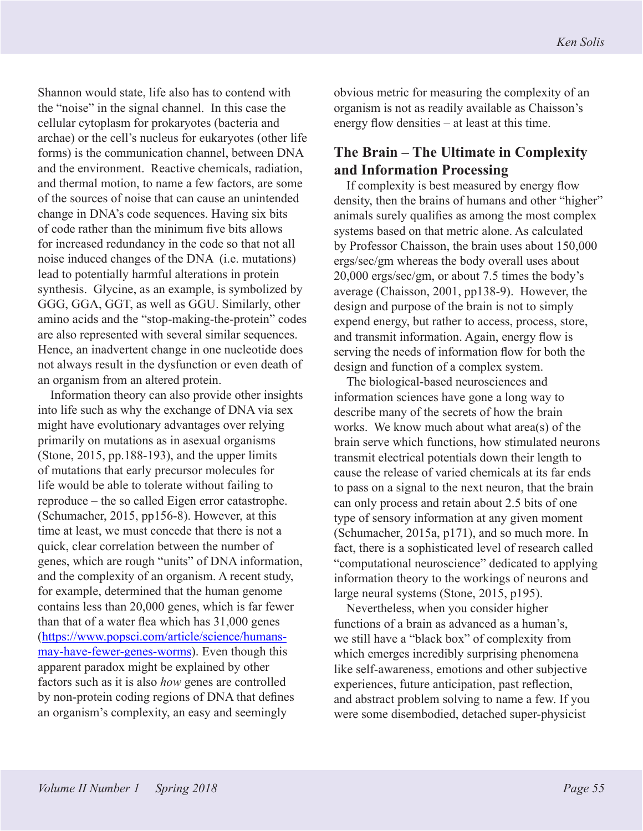Shannon would state, life also has to contend with the "noise" in the signal channel. In this case the cellular cytoplasm for prokaryotes (bacteria and archae) or the cell's nucleus for eukaryotes (other life forms) is the communication channel, between DNA and the environment. Reactive chemicals, radiation, and thermal motion, to name a few factors, are some of the sources of noise that can cause an unintended change in DNA's code sequences. Having six bits of code rather than the minimum five bits allows for increased redundancy in the code so that not all noise induced changes of the DNA (i.e. mutations) lead to potentially harmful alterations in protein synthesis. Glycine, as an example, is symbolized by GGG, GGA, GGT, as well as GGU. Similarly, other amino acids and the "stop-making-the-protein" codes are also represented with several similar sequences. Hence, an inadvertent change in one nucleotide does not always result in the dysfunction or even death of an organism from an altered protein.

Information theory can also provide other insights into life such as why the exchange of DNA via sex might have evolutionary advantages over relying primarily on mutations as in asexual organisms (Stone, 2015, pp.188-193), and the upper limits of mutations that early precursor molecules for life would be able to tolerate without failing to reproduce – the so called Eigen error catastrophe. (Schumacher, 2015, pp156-8). However, at this time at least, we must concede that there is not a quick, clear correlation between the number of genes, which are rough "units" of DNA information, and the complexity of an organism. A recent study, for example, determined that the human genome contains less than 20,000 genes, which is far fewer than that of a water flea which has 31,000 genes (https://www.popsci.com/article/science/humansmay-have-fewer-genes-worms). Even though this apparent paradox might be explained by other factors such as it is also *how* genes are controlled by non-protein coding regions of DNA that defines an organism's complexity, an easy and seemingly

obvious metric for measuring the complexity of an organism is not as readily available as Chaisson's energy flow densities – at least at this time.

# **The Brain – The Ultimate in Complexity and Information Processing**

If complexity is best measured by energy flow density, then the brains of humans and other "higher" animals surely qualifies as among the most complex systems based on that metric alone. As calculated by Professor Chaisson, the brain uses about 150,000 ergs/sec/gm whereas the body overall uses about 20,000 ergs/sec/gm, or about 7.5 times the body's average (Chaisson, 2001, pp138-9). However, the design and purpose of the brain is not to simply expend energy, but rather to access, process, store, and transmit information. Again, energy flow is serving the needs of information flow for both the design and function of a complex system.

The biological-based neurosciences and information sciences have gone a long way to describe many of the secrets of how the brain works. We know much about what area(s) of the brain serve which functions, how stimulated neurons transmit electrical potentials down their length to cause the release of varied chemicals at its far ends to pass on a signal to the next neuron, that the brain can only process and retain about 2.5 bits of one type of sensory information at any given moment (Schumacher, 2015a, p171), and so much more. In fact, there is a sophisticated level of research called "computational neuroscience" dedicated to applying information theory to the workings of neurons and large neural systems (Stone, 2015, p195).

Nevertheless, when you consider higher functions of a brain as advanced as a human's, we still have a "black box" of complexity from which emerges incredibly surprising phenomena like self-awareness, emotions and other subjective experiences, future anticipation, past reflection, and abstract problem solving to name a few. If you were some disembodied, detached super-physicist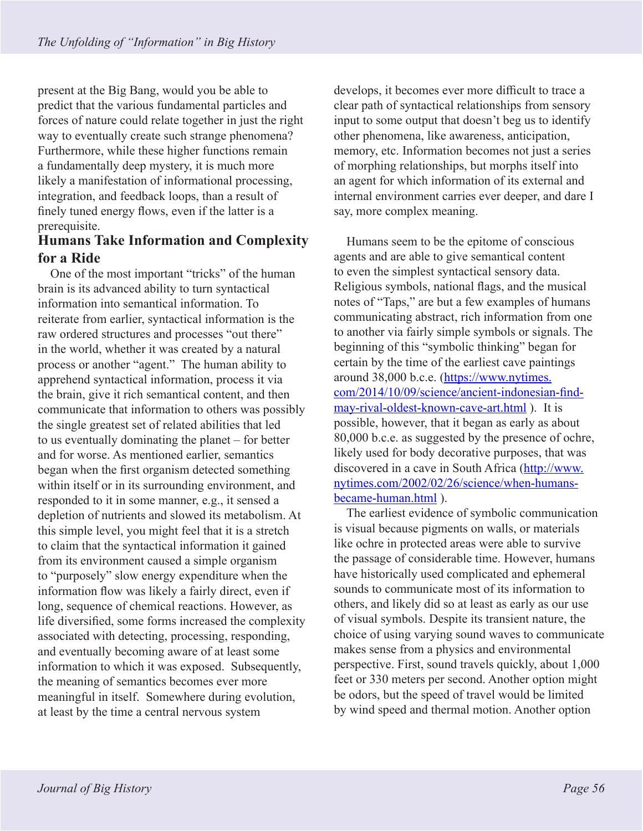present at the Big Bang, would you be able to predict that the various fundamental particles and forces of nature could relate together in just the right way to eventually create such strange phenomena? Furthermore, while these higher functions remain a fundamentally deep mystery, it is much more likely a manifestation of informational processing, integration, and feedback loops, than a result of finely tuned energy flows, even if the latter is a prerequisite.

### **Humans Take Information and Complexity for a Ride**

One of the most important "tricks" of the human brain is its advanced ability to turn syntactical information into semantical information. To reiterate from earlier, syntactical information is the raw ordered structures and processes "out there" in the world, whether it was created by a natural process or another "agent." The human ability to apprehend syntactical information, process it via the brain, give it rich semantical content, and then communicate that information to others was possibly the single greatest set of related abilities that led to us eventually dominating the planet – for better and for worse. As mentioned earlier, semantics began when the first organism detected something within itself or in its surrounding environment, and responded to it in some manner, e.g., it sensed a depletion of nutrients and slowed its metabolism. At this simple level, you might feel that it is a stretch to claim that the syntactical information it gained from its environment caused a simple organism to "purposely" slow energy expenditure when the information flow was likely a fairly direct, even if long, sequence of chemical reactions. However, as life diversified, some forms increased the complexity associated with detecting, processing, responding, and eventually becoming aware of at least some information to which it was exposed. Subsequently, the meaning of semantics becomes ever more meaningful in itself. Somewhere during evolution, at least by the time a central nervous system

develops, it becomes ever more difficult to trace a clear path of syntactical relationships from sensory input to some output that doesn't beg us to identify other phenomena, like awareness, anticipation, memory, etc. Information becomes not just a series of morphing relationships, but morphs itself into an agent for which information of its external and internal environment carries ever deeper, and dare I say, more complex meaning.

Humans seem to be the epitome of conscious agents and are able to give semantical content to even the simplest syntactical sensory data. Religious symbols, national flags, and the musical notes of "Taps," are but a few examples of humans communicating abstract, rich information from one to another via fairly simple symbols or signals. The beginning of this "symbolic thinking" began for certain by the time of the earliest cave paintings around 38,000 b.c.e. (https://www.nytimes. com/2014/10/09/science/ancient-indonesian-findmay-rival-oldest-known-cave-art.html ). It is possible, however, that it began as early as about 80,000 b.c.e. as suggested by the presence of ochre, likely used for body decorative purposes, that was discovered in a cave in South Africa (http://www. nytimes.com/2002/02/26/science/when-humansbecame-human.html ).

The earliest evidence of symbolic communication is visual because pigments on walls, or materials like ochre in protected areas were able to survive the passage of considerable time. However, humans have historically used complicated and ephemeral sounds to communicate most of its information to others, and likely did so at least as early as our use of visual symbols. Despite its transient nature, the choice of using varying sound waves to communicate makes sense from a physics and environmental perspective. First, sound travels quickly, about 1,000 feet or 330 meters per second. Another option might be odors, but the speed of travel would be limited by wind speed and thermal motion. Another option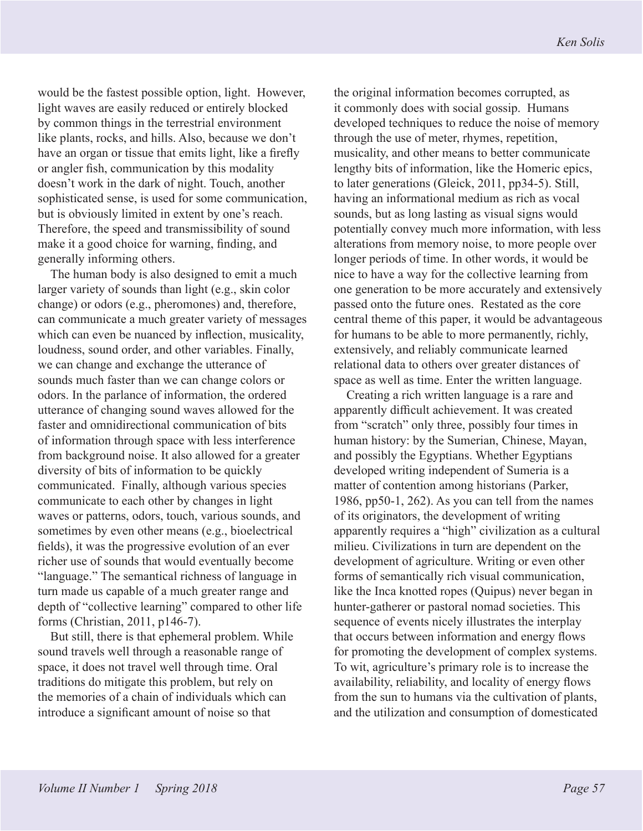would be the fastest possible option, light. However, light waves are easily reduced or entirely blocked by common things in the terrestrial environment like plants, rocks, and hills. Also, because we don't have an organ or tissue that emits light, like a firefly or angler fish, communication by this modality doesn't work in the dark of night. Touch, another sophisticated sense, is used for some communication, but is obviously limited in extent by one's reach. Therefore, the speed and transmissibility of sound make it a good choice for warning, finding, and generally informing others.

The human body is also designed to emit a much larger variety of sounds than light (e.g., skin color change) or odors (e.g., pheromones) and, therefore, can communicate a much greater variety of messages which can even be nuanced by inflection, musicality, loudness, sound order, and other variables. Finally, we can change and exchange the utterance of sounds much faster than we can change colors or odors. In the parlance of information, the ordered utterance of changing sound waves allowed for the faster and omnidirectional communication of bits of information through space with less interference from background noise. It also allowed for a greater diversity of bits of information to be quickly communicated. Finally, although various species communicate to each other by changes in light waves or patterns, odors, touch, various sounds, and sometimes by even other means (e.g., bioelectrical fields), it was the progressive evolution of an ever richer use of sounds that would eventually become "language." The semantical richness of language in turn made us capable of a much greater range and depth of "collective learning" compared to other life forms (Christian, 2011, p146-7).

But still, there is that ephemeral problem. While sound travels well through a reasonable range of space, it does not travel well through time. Oral traditions do mitigate this problem, but rely on the memories of a chain of individuals which can introduce a significant amount of noise so that

the original information becomes corrupted, as it commonly does with social gossip. Humans developed techniques to reduce the noise of memory through the use of meter, rhymes, repetition, musicality, and other means to better communicate lengthy bits of information, like the Homeric epics, to later generations (Gleick, 2011, pp34-5). Still, having an informational medium as rich as vocal sounds, but as long lasting as visual signs would potentially convey much more information, with less alterations from memory noise, to more people over longer periods of time. In other words, it would be nice to have a way for the collective learning from one generation to be more accurately and extensively passed onto the future ones. Restated as the core central theme of this paper, it would be advantageous for humans to be able to more permanently, richly, extensively, and reliably communicate learned relational data to others over greater distances of space as well as time. Enter the written language.

Creating a rich written language is a rare and apparently difficult achievement. It was created from "scratch" only three, possibly four times in human history: by the Sumerian, Chinese, Mayan, and possibly the Egyptians. Whether Egyptians developed writing independent of Sumeria is a matter of contention among historians (Parker, 1986, pp50-1, 262). As you can tell from the names of its originators, the development of writing apparently requires a "high" civilization as a cultural milieu. Civilizations in turn are dependent on the development of agriculture. Writing or even other forms of semantically rich visual communication, like the Inca knotted ropes (Quipus) never began in hunter-gatherer or pastoral nomad societies. This sequence of events nicely illustrates the interplay that occurs between information and energy flows for promoting the development of complex systems. To wit, agriculture's primary role is to increase the availability, reliability, and locality of energy flows from the sun to humans via the cultivation of plants, and the utilization and consumption of domesticated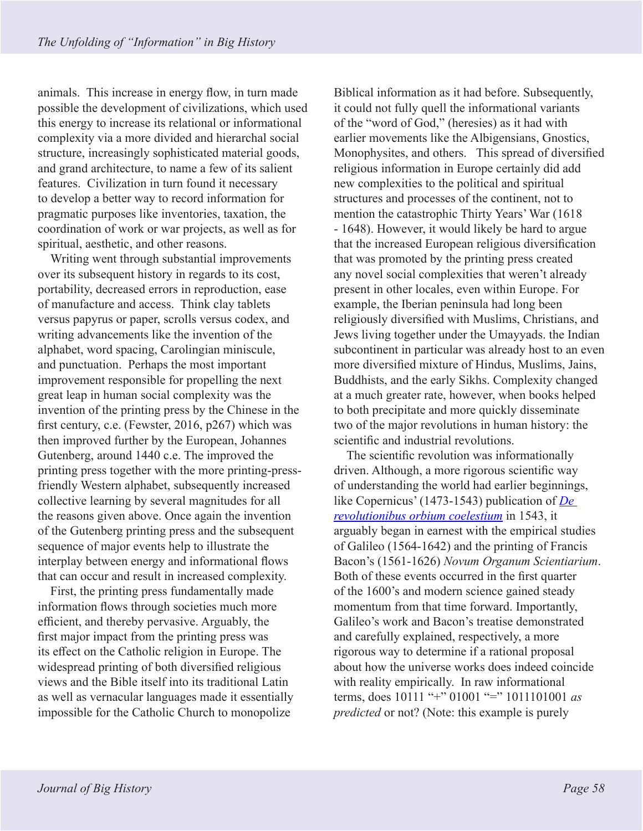animals. This increase in energy flow, in turn made possible the development of civilizations, which used this energy to increase its relational or informational complexity via a more divided and hierarchal social structure, increasingly sophisticated material goods, and grand architecture, to name a few of its salient features. Civilization in turn found it necessary to develop a better way to record information for pragmatic purposes like inventories, taxation, the coordination of work or war projects, as well as for spiritual, aesthetic, and other reasons.

Writing went through substantial improvements over its subsequent history in regards to its cost, portability, decreased errors in reproduction, ease of manufacture and access. Think clay tablets versus papyrus or paper, scrolls versus codex, and writing advancements like the invention of the alphabet, word spacing, Carolingian miniscule, and punctuation. Perhaps the most important improvement responsible for propelling the next great leap in human social complexity was the invention of the printing press by the Chinese in the first century, c.e. (Fewster, 2016, p267) which was then improved further by the European, Johannes Gutenberg, around 1440 c.e. The improved the printing press together with the more printing-pressfriendly Western alphabet, subsequently increased collective learning by several magnitudes for all the reasons given above. Once again the invention of the Gutenberg printing press and the subsequent sequence of major events help to illustrate the interplay between energy and informational flows that can occur and result in increased complexity.

First, the printing press fundamentally made information flows through societies much more efficient, and thereby pervasive. Arguably, the first major impact from the printing press was its effect on the Catholic religion in Europe. The widespread printing of both diversified religious views and the Bible itself into its traditional Latin as well as vernacular languages made it essentially impossible for the Catholic Church to monopolize

Biblical information as it had before. Subsequently, it could not fully quell the informational variants of the "word of God," (heresies) as it had with earlier movements like the Albigensians, Gnostics, Monophysites, and others. This spread of diversified religious information in Europe certainly did add new complexities to the political and spiritual structures and processes of the continent, not to mention the catastrophic Thirty Years' War (1618 - 1648). However, it would likely be hard to argue that the increased European religious diversification that was promoted by the printing press created any novel social complexities that weren't already present in other locales, even within Europe. For example, the Iberian peninsula had long been religiously diversified with Muslims, Christians, and Jews living together under the Umayyads. the Indian subcontinent in particular was already host to an even more diversified mixture of Hindus, Muslims, Jains, Buddhists, and the early Sikhs. Complexity changed at a much greater rate, however, when books helped to both precipitate and more quickly disseminate two of the major revolutions in human history: the scientific and industrial revolutions.

The scientific revolution was informationally driven. Although, a more rigorous scientific way of understanding the world had earlier beginnings, like Copernicus' (1473-1543) publication of *De revolutionibus orbium coelestium* in 1543, it arguably began in earnest with the empirical studies of Galileo (1564-1642) and the printing of Francis Bacon's (1561-1626) *Novum Organum Scientiarium*. Both of these events occurred in the first quarter of the 1600's and modern science gained steady momentum from that time forward. Importantly, Galileo's work and Bacon's treatise demonstrated and carefully explained, respectively, a more rigorous way to determine if a rational proposal about how the universe works does indeed coincide with reality empirically. In raw informational terms, does 10111 "+" 01001 "=" 1011101001 *as predicted* or not? (Note: this example is purely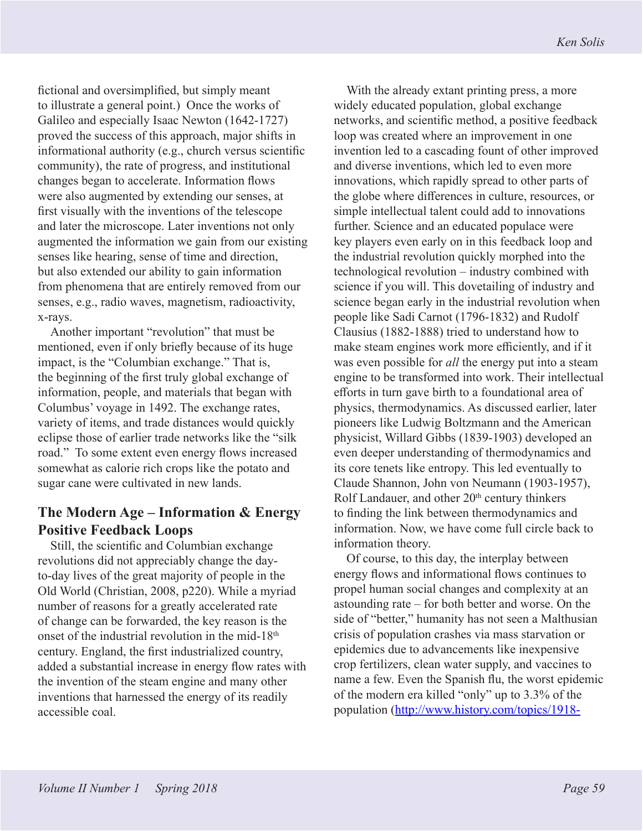fictional and oversimplified, but simply meant to illustrate a general point.) Once the works of Galileo and especially Isaac Newton (1642-1727) proved the success of this approach, major shifts in informational authority (e.g., church versus scientific community), the rate of progress, and institutional changes began to accelerate. Information flows were also augmented by extending our senses, at first visually with the inventions of the telescope and later the microscope. Later inventions not only augmented the information we gain from our existing senses like hearing, sense of time and direction, but also extended our ability to gain information from phenomena that are entirely removed from our senses, e.g., radio waves, magnetism, radioactivity, x-rays.

Another important "revolution" that must be mentioned, even if only briefly because of its huge impact, is the "Columbian exchange." That is, the beginning of the first truly global exchange of information, people, and materials that began with Columbus' voyage in 1492. The exchange rates, variety of items, and trade distances would quickly eclipse those of earlier trade networks like the "silk road." To some extent even energy flows increased somewhat as calorie rich crops like the potato and sugar cane were cultivated in new lands.

# **The Modern Age – Information & Energy Positive Feedback Loops**

Still, the scientific and Columbian exchange revolutions did not appreciably change the dayto-day lives of the great majority of people in the Old World (Christian, 2008, p220). While a myriad number of reasons for a greatly accelerated rate of change can be forwarded, the key reason is the onset of the industrial revolution in the mid-18<sup>th</sup> century. England, the first industrialized country, added a substantial increase in energy flow rates with the invention of the steam engine and many other inventions that harnessed the energy of its readily accessible coal.

With the already extant printing press, a more widely educated population, global exchange networks, and scientific method, a positive feedback loop was created where an improvement in one invention led to a cascading fount of other improved and diverse inventions, which led to even more innovations, which rapidly spread to other parts of the globe where differences in culture, resources, or simple intellectual talent could add to innovations further. Science and an educated populace were key players even early on in this feedback loop and the industrial revolution quickly morphed into the technological revolution – industry combined with science if you will. This dovetailing of industry and science began early in the industrial revolution when people like Sadi Carnot (1796-1832) and Rudolf Clausius (1882-1888) tried to understand how to make steam engines work more efficiently, and if it was even possible for *all* the energy put into a steam engine to be transformed into work. Their intellectual efforts in turn gave birth to a foundational area of physics, thermodynamics. As discussed earlier, later pioneers like Ludwig Boltzmann and the American physicist, Willard Gibbs (1839-1903) developed an even deeper understanding of thermodynamics and its core tenets like entropy. This led eventually to Claude Shannon, John von Neumann (1903-1957), Rolf Landauer, and other 20<sup>th</sup> century thinkers to finding the link between thermodynamics and information. Now, we have come full circle back to information theory.

Of course, to this day, the interplay between energy flows and informational flows continues to propel human social changes and complexity at an astounding rate – for both better and worse. On the side of "better," humanity has not seen a Malthusian crisis of population crashes via mass starvation or epidemics due to advancements like inexpensive crop fertilizers, clean water supply, and vaccines to name a few. Even the Spanish flu, the worst epidemic of the modern era killed "only" up to 3.3% of the population (http://www.history.com/topics/1918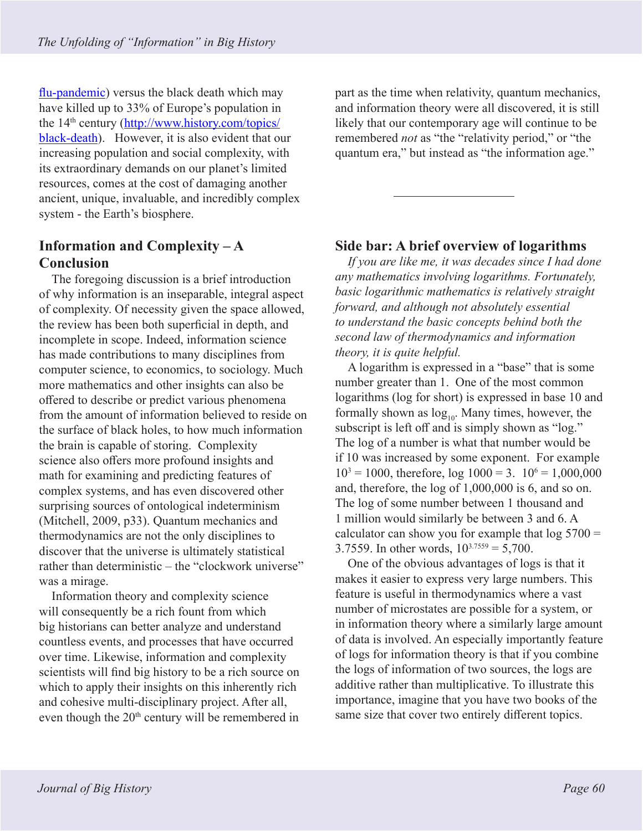flu-pandemic) versus the black death which may have killed up to 33% of Europe's population in the 14th century (http://www.history.com/topics/ black-death). However, it is also evident that our increasing population and social complexity, with its extraordinary demands on our planet's limited resources, comes at the cost of damaging another ancient, unique, invaluable, and incredibly complex system - the Earth's biosphere.

# **Information and Complexity – A Conclusion**

The foregoing discussion is a brief introduction of why information is an inseparable, integral aspect of complexity. Of necessity given the space allowed, the review has been both superficial in depth, and incomplete in scope. Indeed, information science has made contributions to many disciplines from computer science, to economics, to sociology. Much more mathematics and other insights can also be offered to describe or predict various phenomena from the amount of information believed to reside on the surface of black holes, to how much information the brain is capable of storing. Complexity science also offers more profound insights and math for examining and predicting features of complex systems, and has even discovered other surprising sources of ontological indeterminism (Mitchell, 2009, p33). Quantum mechanics and thermodynamics are not the only disciplines to discover that the universe is ultimately statistical rather than deterministic – the "clockwork universe" was a mirage.

Information theory and complexity science will consequently be a rich fount from which big historians can better analyze and understand countless events, and processes that have occurred over time. Likewise, information and complexity scientists will find big history to be a rich source on which to apply their insights on this inherently rich and cohesive multi-disciplinary project. After all, even though the 20<sup>th</sup> century will be remembered in

part as the time when relativity, quantum mechanics, and information theory were all discovered, it is still likely that our contemporary age will continue to be remembered *not* as "the "relativity period," or "the quantum era," but instead as "the information age."

#### **Side bar: A brief overview of logarithms**

*If you are like me, it was decades since I had done any mathematics involving logarithms. Fortunately, basic logarithmic mathematics is relatively straight forward, and although not absolutely essential to understand the basic concepts behind both the second law of thermodynamics and information theory, it is quite helpful.* 

A logarithm is expressed in a "base" that is some number greater than 1. One of the most common logarithms (log for short) is expressed in base 10 and formally shown as  $log_{10}$ . Many times, however, the subscript is left off and is simply shown as "log." The log of a number is what that number would be if 10 was increased by some exponent. For example  $10^3 = 1000$ , therefore,  $log 1000 = 3$ .  $10^6 = 1,000,000$ and, therefore, the log of 1,000,000 is 6, and so on. The log of some number between 1 thousand and 1 million would similarly be between 3 and 6. A calculator can show you for example that  $log 5700 =$ 3.7559. In other words,  $10^{3.7559} = 5,700$ .

One of the obvious advantages of logs is that it makes it easier to express very large numbers. This feature is useful in thermodynamics where a vast number of microstates are possible for a system, or in information theory where a similarly large amount of data is involved. An especially importantly feature of logs for information theory is that if you combine the logs of information of two sources, the logs are additive rather than multiplicative. To illustrate this importance, imagine that you have two books of the same size that cover two entirely different topics.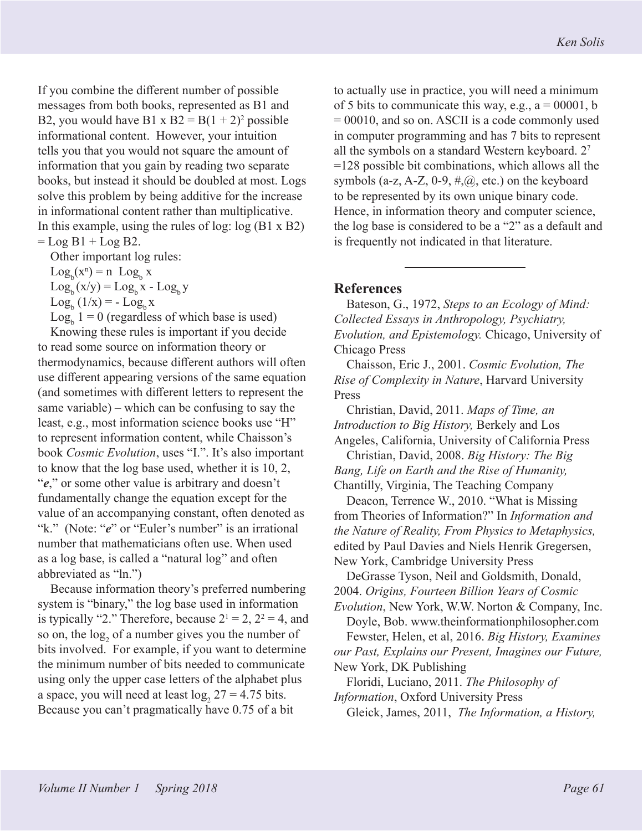If you combine the different number of possible messages from both books, represented as B1 and B2, you would have B1 x  $B2 = B(1 + 2)^2$  possible informational content. However, your intuition tells you that you would not square the amount of information that you gain by reading two separate books, but instead it should be doubled at most. Logs solve this problem by being additive for the increase in informational content rather than multiplicative. In this example, using the rules of log: log (B1 x B2)  $=$  Log B1 + Log B2.

Other important log rules:

 $Log_b(x^n) = n Log_b x$  $Log_b(x/y) = Log_b x - Log_b y$ 

 $\text{Log}_{b} (1/x) = - \text{Log}_{b} x$ 

 $Log_b 1 = 0$  (regardless of which base is used)

Knowing these rules is important if you decide to read some source on information theory or thermodynamics, because different authors will often use different appearing versions of the same equation (and sometimes with different letters to represent the same variable) – which can be confusing to say the least, e.g., most information science books use "H" to represent information content, while Chaisson's book *Cosmic Evolution*, uses "I.". It's also important to know that the log base used, whether it is 10, 2, "*e*," or some other value is arbitrary and doesn't fundamentally change the equation except for the value of an accompanying constant, often denoted as "k." (Note: "*e*" or "Euler's number" is an irrational number that mathematicians often use. When used as a log base, is called a "natural log" and often abbreviated as "ln.")

Because information theory's preferred numbering system is "binary," the log base used in information is typically "2." Therefore, because  $2^1 = 2$ ,  $2^2 = 4$ , and so on, the  $log_2$  of a number gives you the number of bits involved. For example, if you want to determine the minimum number of bits needed to communicate using only the upper case letters of the alphabet plus a space, you will need at least  $log_2 27 = 4.75$  bits. Because you can't pragmatically have 0.75 of a bit

to actually use in practice, you will need a minimum of 5 bits to communicate this way, e.g.,  $a = 00001$ , b = 00010, and so on. ASCII is a code commonly used in computer programming and has 7 bits to represent all the symbols on a standard Western keyboard. 2<sup>7</sup> =128 possible bit combinations, which allows all the symbols (a-z, A-Z, 0-9,  $\#$ ,  $\omega$ , etc.) on the keyboard to be represented by its own unique binary code. Hence, in information theory and computer science, the log base is considered to be a "2" as a default and is frequently not indicated in that literature.

#### **References**

Bateson, G., 1972, *Steps to an Ecology of Mind: Collected Essays in Anthropology, Psychiatry, Evolution, and Epistemology.* Chicago, University of Chicago Press

Chaisson, Eric J., 2001. *Cosmic Evolution, The Rise of Complexity in Nature*, Harvard University Press

Christian, David, 2011. *Maps of Time, an Introduction to Big History,* Berkely and Los Angeles, California, University of California Press

Christian, David, 2008. *Big History: The Big Bang, Life on Earth and the Rise of Humanity,*  Chantilly, Virginia, The Teaching Company

Deacon, Terrence W., 2010. "What is Missing from Theories of Information?" In *Information and the Nature of Reality, From Physics to Metaphysics,*  edited by Paul Davies and Niels Henrik Gregersen, New York, Cambridge University Press

DeGrasse Tyson, Neil and Goldsmith, Donald, 2004. *Origins, Fourteen Billion Years of Cosmic* 

*Evolution*, New York, W.W. Norton & Company, Inc. Doyle, Bob. www.theinformationphilosopher.com

Fewster, Helen, et al, 2016. *Big History, Examines our Past, Explains our Present, Imagines our Future,*  New York, DK Publishing

Floridi, Luciano, 2011. *The Philosophy of Information*, Oxford University Press

Gleick, James, 2011, *The Information, a History,*